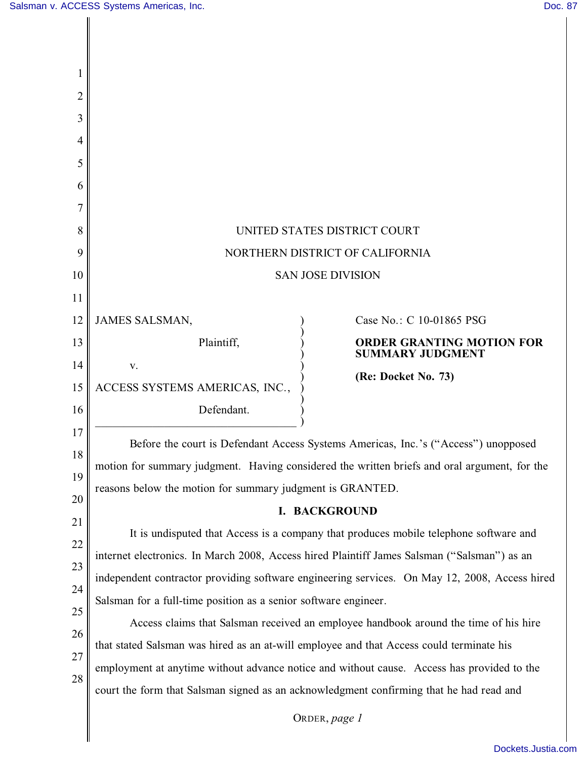| 2  |                                                                                               |
|----|-----------------------------------------------------------------------------------------------|
| 3  |                                                                                               |
| 4  |                                                                                               |
| 5  |                                                                                               |
| 6  |                                                                                               |
|    |                                                                                               |
| 8  | UNITED STATES DISTRICT COURT                                                                  |
| 9  | NORTHERN DISTRICT OF CALIFORNIA                                                               |
| 10 | <b>SAN JOSE DIVISION</b>                                                                      |
| 11 |                                                                                               |
| 12 | <b>JAMES SALSMAN,</b><br>Case No.: C 10-01865 PSG                                             |
| 13 | Plaintiff,<br><b>ORDER GRANTING MOTION FOR</b><br><b>SUMMARY JUDGMENT</b>                     |
| 14 | V.<br>(Re: Docket No. 73)                                                                     |
| 15 | ACCESS SYSTEMS AMERICAS, INC.,                                                                |
| 16 | Defendant.                                                                                    |
| 17 | Before the court is Defendant Access Systems Americas, Inc.'s ("Access") unopposed            |
| 18 | motion for summary judgment. Having considered the written briefs and oral argument, for the  |
| 19 | reasons below the motion for summary judgment is GRANTED.                                     |
| 20 | I. BACKGROUND                                                                                 |
| 21 | It is undisputed that Access is a company that produces mobile telephone software and         |
| 22 | internet electronics. In March 2008, Access hired Plaintiff James Salsman ("Salsman") as an   |
| 23 |                                                                                               |
| 24 | independent contractor providing software engineering services. On May 12, 2008, Access hired |
| 25 | Salsman for a full-time position as a senior software engineer.                               |
| 26 | Access claims that Salsman received an employee handbook around the time of his hire          |
| 27 | that stated Salsman was hired as an at-will employee and that Access could terminate his      |
| 28 | employment at anytime without advance notice and without cause. Access has provided to the    |
|    | court the form that Salsman signed as an acknowledgment confirming that he had read and       |
|    |                                                                                               |

ORDER, *page 1*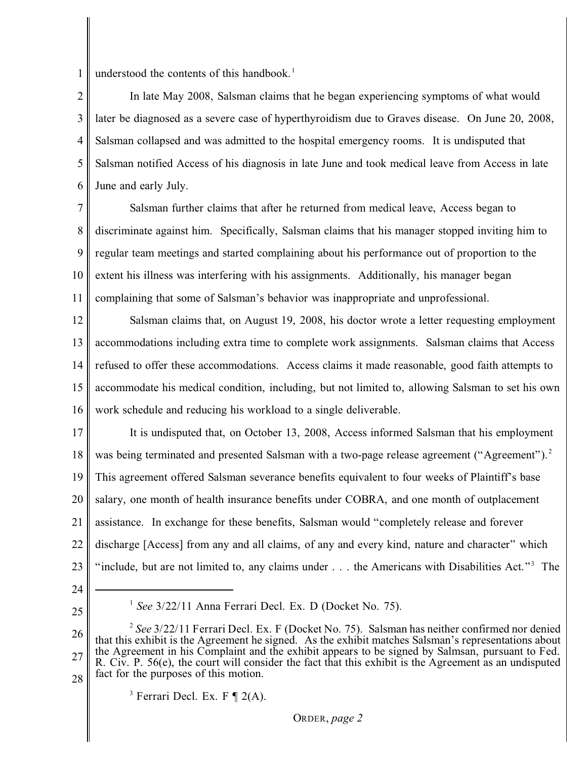1 understood the contents of this handbook. 1

2 3 4 5 6 In late May 2008, Salsman claims that he began experiencing symptoms of what would later be diagnosed as a severe case of hyperthyroidism due to Graves disease. On June 20, 2008, Salsman collapsed and was admitted to the hospital emergency rooms. It is undisputed that Salsman notified Access of his diagnosis in late June and took medical leave from Access in late June and early July.

7 8 9 10 11 Salsman further claims that after he returned from medical leave, Access began to discriminate against him. Specifically, Salsman claims that his manager stopped inviting him to regular team meetings and started complaining about his performance out of proportion to the extent his illness was interfering with his assignments. Additionally, his manager began complaining that some of Salsman's behavior was inappropriate and unprofessional.

12 13 14 15 16 Salsman claims that, on August 19, 2008, his doctor wrote a letter requesting employment accommodations including extra time to complete work assignments. Salsman claims that Access refused to offer these accommodations. Access claims it made reasonable, good faith attempts to accommodate his medical condition, including, but not limited to, allowing Salsman to set his own work schedule and reducing his workload to a single deliverable.

17 18 19 20 21 22 23 It is undisputed that, on October 13, 2008, Access informed Salsman that his employment was being terminated and presented Salsman with a two-page release agreement ("Agreement").<sup>2</sup> This agreement offered Salsman severance benefits equivalent to four weeks of Plaintiff's base salary, one month of health insurance benefits under COBRA, and one month of outplacement assistance. In exchange for these benefits, Salsman would "completely release and forever discharge [Access] from any and all claims, of any and every kind, nature and character" which "include, but are not limited to, any claims under  $\ldots$  the Americans with Disabilities Act."<sup>3</sup> The

- 24
- 25

 $<sup>1</sup>$  *See* 3/22/11 Anna Ferrari Decl. Ex. D (Docket No. 75).</sup>

ORDER, *page 2*

<sup>26</sup> 27 28  $\frac{2}{3}$  See 3/22/11 Ferrari Decl. Ex. F (Docket No. 75). Salsman has neither confirmed nor denied that this exhibit is the Agreement he signed. As the exhibit matches Salsman's representations about the Agreement in his Complaint and the exhibit appears to be signed by Salmsan, pursuant to Fed. R. Civ. P. 56(e), the court will consider the fact that this exhibit is the Agreement as an undisputed fact for the purposes of this motion.

<sup>&</sup>lt;sup>3</sup> Ferrari Decl. Ex. F  $\P$  2(A).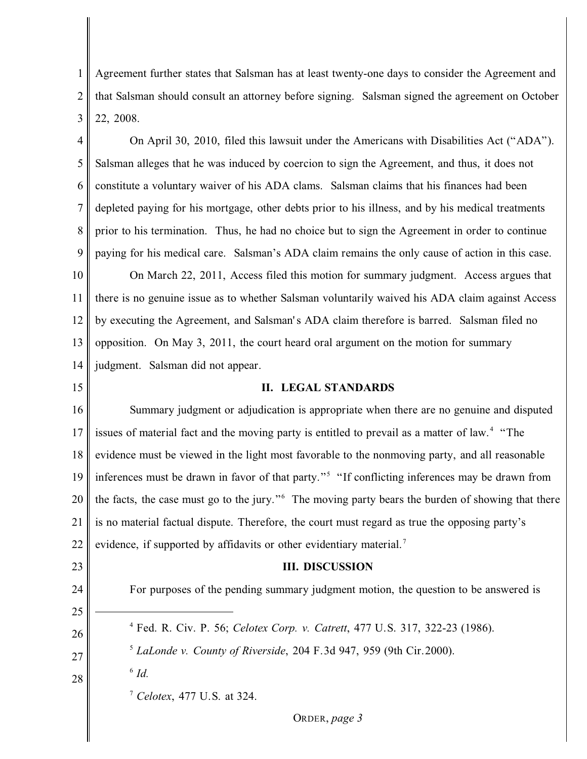1 2 3 Agreement further states that Salsman has at least twenty-one days to consider the Agreement and that Salsman should consult an attorney before signing. Salsman signed the agreement on October 22, 2008.

4 5 6 7 8 9 10 11 On April 30, 2010, filed this lawsuit under the Americans with Disabilities Act ("ADA"). Salsman alleges that he was induced by coercion to sign the Agreement, and thus, it does not constitute a voluntary waiver of his ADA clams. Salsman claims that his finances had been depleted paying for his mortgage, other debts prior to his illness, and by his medical treatments prior to his termination. Thus, he had no choice but to sign the Agreement in order to continue paying for his medical care. Salsman's ADA claim remains the only cause of action in this case. On March 22, 2011, Access filed this motion for summary judgment. Access argues that there is no genuine issue as to whether Salsman voluntarily waived his ADA claim against Access

12 13 14 by executing the Agreement, and Salsman's ADA claim therefore is barred. Salsman filed no opposition. On May 3, 2011, the court heard oral argument on the motion for summary judgment. Salsman did not appear.

## 15

23

24

25

26

27

28

## **II. LEGAL STANDARDS**

16 17 18 19 20 21 22 Summary judgment or adjudication is appropriate when there are no genuine and disputed issues of material fact and the moving party is entitled to prevail as a matter of law.<sup>4</sup> "The evidence must be viewed in the light most favorable to the nonmoving party, and all reasonable inferences must be drawn in favor of that party."<sup>5</sup> "If conflicting inferences may be drawn from the facts, the case must go to the jury." The moving party bears the burden of showing that there is no material factual dispute. Therefore, the court must regard as true the opposing party's evidence, if supported by affidavits or other evidentiary material.<sup>7</sup>

## **III. DISCUSSION**

For purposes of the pending summary judgment motion, the question to be answered is

- <sup>4</sup> Fed. R. Civ. P. 56; *Celotex Corp. v. Catrett*, 477 U.S. 317, 322-23 (1986).
- *LaLonde v. County of Riverside*, 204 F.3d 947, 959 (9th Cir.2000). <sup>5</sup>
- $\delta$  *Id.*

<sup>7</sup> Celotex, 477 U.S. at 324.

ORDER, *page 3*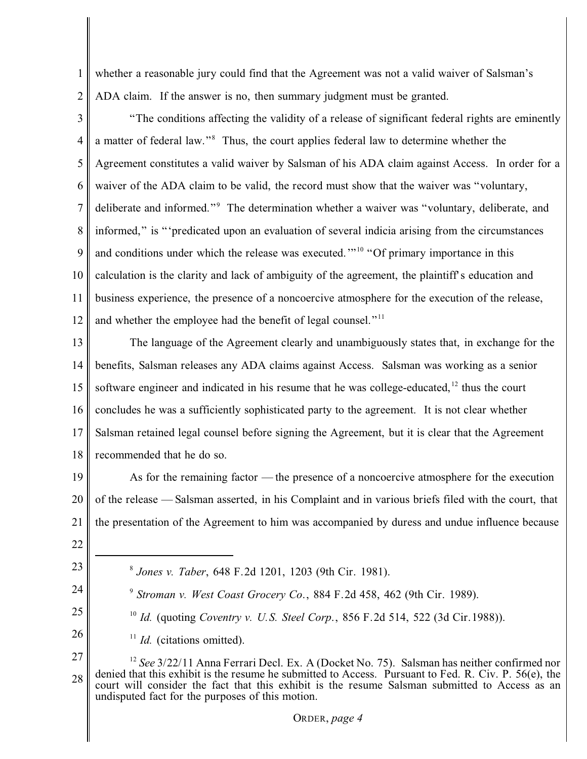1 2 whether a reasonable jury could find that the Agreement was not a valid waiver of Salsman's ADA claim. If the answer is no, then summary judgment must be granted.

3 4 5 6 7 8 9 10 11 12 "The conditions affecting the validity of a release of significant federal rights are eminently a matter of federal law."<sup>8</sup> Thus, the court applies federal law to determine whether the Agreement constitutes a valid waiver by Salsman of his ADA claim against Access. In order for a waiver of the ADA claim to be valid, the record must show that the waiver was "voluntary, deliberate and informed."<sup>9</sup> The determination whether a waiver was "voluntary, deliberate, and informed," is "'predicated upon an evaluation of several indicia arising from the circumstances and conditions under which the release was executed. $\cdot$ <sup>10</sup> "Of primary importance in this calculation is the clarity and lack of ambiguity of the agreement, the plaintiff's education and business experience, the presence of a noncoercive atmosphere for the execution of the release, and whether the employee had the benefit of legal counsel."<sup>11</sup>

13 14 15 16 17 18 The language of the Agreement clearly and unambiguously states that, in exchange for the benefits, Salsman releases any ADA claims against Access. Salsman was working as a senior software engineer and indicated in his resume that he was college-educated,  $12$  thus the court concludes he was a sufficiently sophisticated party to the agreement. It is not clear whether Salsman retained legal counsel before signing the Agreement, but it is clear that the Agreement recommended that he do so.

19 20 21 As for the remaining factor — the presence of a noncoercive atmosphere for the execution of the release — Salsman asserted, in his Complaint and in various briefs filed with the court, that the presentation of the Agreement to him was accompanied by duress and undue influence because

- 22
- 23 24

25

26

- *Jones v. Taber*, 648 F.2d 1201, 1203 (9th Cir. 1981). 8
- <sup>9</sup> Stroman v. West Coast Grocery Co., 884 F.2d 458, 462 (9th Cir. 1989).
	- <sup>10</sup> *Id.* (quoting *Coventry v. U.S. Steel Corp.*, 856 F.2d 514, 522 (3d Cir.1988)).
- $11$  *Id.* (citations omitted).

<sup>27</sup> 28  $12$  See  $3/22/11$  Anna Ferrari Decl. Ex. A (Docket No. 75). Salsman has neither confirmed nor denied that this exhibit is the resume he submitted to Access. Pursuant to Fed. R. Civ. P. 56(e), the court will consider the fact that this exhibit is the resume Salsman submitted to Access as an undisputed fact for the purposes of this motion.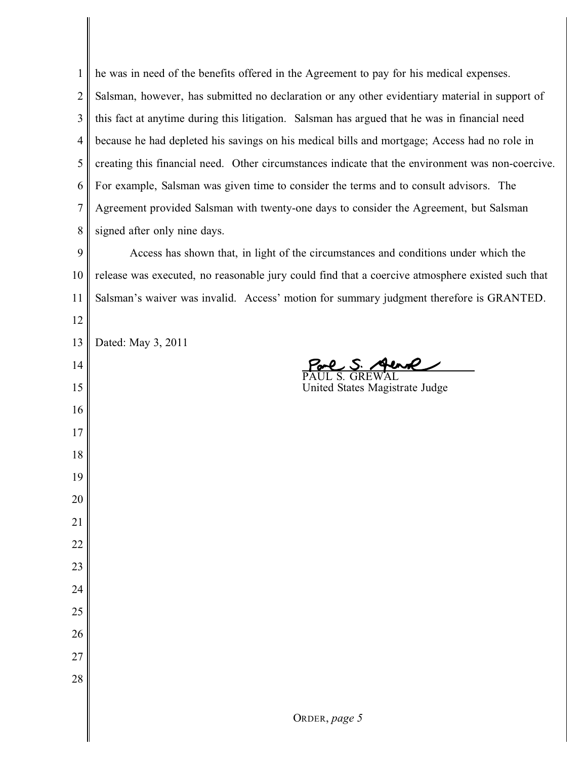he was in need of the benefits offered in the Agreement to pay for his medical expenses. Salsman, however, has submitted no declaration or any other evidentiary material in support of this fact at anytime during this litigation. Salsman has argued that he was in financial need because he had depleted his savings on his medical bills and mortgage; Access had no role in creating this financial need. Other circumstances indicate that the environment was non-coercive. For example, Salsman was given time to consider the terms and to consult advisors. The Agreement provided Salsman with twenty-one days to consider the Agreement, but Salsman signed after only nine days. Access has shown that, in light of the circumstances and conditions under which the

 release was executed, no reasonable jury could find that a coercive atmosphere existed such that Salsman's waiver was invalid. Access' motion for summary judgment therefore is GRANTED.

 Dated: May 3, 2011

 $\overline{a}$ 

PAUL S. GREWAL United States Magistrate Judge